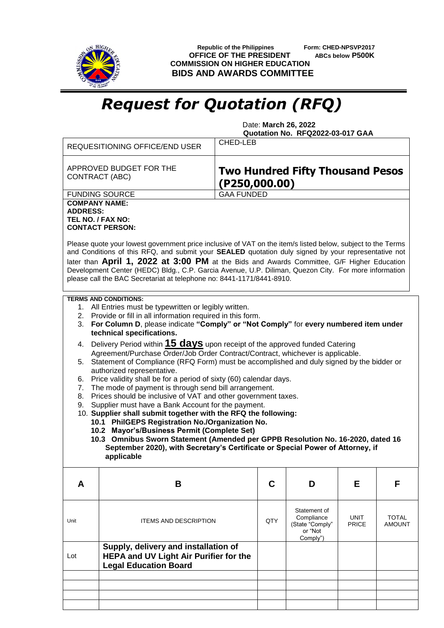

 **Republic of the Philippines Form: CHED-NPSVP2017 OFFICE OF THE PRESIDENT ABCs below P500K COMMISSION ON HIGHER EDUCATION BIDS AND AWARDS COMMITTEE**

## *Request for Quotation (RFQ)*

 Date: **March 26, 2022 Quotation No. RFQ2022-03-017 GAA**

|                                                                                                                                                                                                                                                                                                                                                                                                                                                                                                   | <b>REQUESITIONING OFFICE/END USER</b>                                                                                            | CHED-LEB          |     |                                                      |                             |                               |  |  |  |  |
|---------------------------------------------------------------------------------------------------------------------------------------------------------------------------------------------------------------------------------------------------------------------------------------------------------------------------------------------------------------------------------------------------------------------------------------------------------------------------------------------------|----------------------------------------------------------------------------------------------------------------------------------|-------------------|-----|------------------------------------------------------|-----------------------------|-------------------------------|--|--|--|--|
| APPROVED BUDGET FOR THE<br><b>Two Hundred Fifty Thousand Pesos</b><br>CONTRACT (ABC)<br>$($ P250,000.00 $)$                                                                                                                                                                                                                                                                                                                                                                                       |                                                                                                                                  |                   |     |                                                      |                             |                               |  |  |  |  |
|                                                                                                                                                                                                                                                                                                                                                                                                                                                                                                   | <b>FUNDING SOURCE</b>                                                                                                            | <b>GAA FUNDED</b> |     |                                                      |                             |                               |  |  |  |  |
| <b>COMPANY NAME:</b><br><b>ADDRESS:</b><br>TEL NO. / FAX NO:<br><b>CONTACT PERSON:</b>                                                                                                                                                                                                                                                                                                                                                                                                            |                                                                                                                                  |                   |     |                                                      |                             |                               |  |  |  |  |
| Please quote your lowest government price inclusive of VAT on the item/s listed below, subject to the Terms<br>and Conditions of this RFQ, and submit your SEALED quotation duly signed by your representative not<br>later than April 1, 2022 at 3:00 PM at the Bids and Awards Committee, G/F Higher Education<br>Development Center (HEDC) Bldg., C.P. Garcia Avenue, U.P. Diliman, Quezon City. For more information<br>please call the BAC Secretariat at telephone no: 8441-1171/8441-8910. |                                                                                                                                  |                   |     |                                                      |                             |                               |  |  |  |  |
| <b>TERMS AND CONDITIONS:</b>                                                                                                                                                                                                                                                                                                                                                                                                                                                                      |                                                                                                                                  |                   |     |                                                      |                             |                               |  |  |  |  |
| 1. All Entries must be typewritten or legibly written.<br>2. Provide or fill in all information required in this form.                                                                                                                                                                                                                                                                                                                                                                            |                                                                                                                                  |                   |     |                                                      |                             |                               |  |  |  |  |
| 3.                                                                                                                                                                                                                                                                                                                                                                                                                                                                                                | For Column D, please indicate "Comply" or "Not Comply" for every numbered item under                                             |                   |     |                                                      |                             |                               |  |  |  |  |
| technical specifications.<br>Delivery Period within 15 days upon receipt of the approved funded Catering<br>4.                                                                                                                                                                                                                                                                                                                                                                                    |                                                                                                                                  |                   |     |                                                      |                             |                               |  |  |  |  |
| Agreement/Purchase Order/Job Order Contract/Contract, whichever is applicable.<br>Statement of Compliance (RFQ Form) must be accomplished and duly signed by the bidder or<br>5.                                                                                                                                                                                                                                                                                                                  |                                                                                                                                  |                   |     |                                                      |                             |                               |  |  |  |  |
| authorized representative.                                                                                                                                                                                                                                                                                                                                                                                                                                                                        |                                                                                                                                  |                   |     |                                                      |                             |                               |  |  |  |  |
| 7.                                                                                                                                                                                                                                                                                                                                                                                                                                                                                                | Price validity shall be for a period of sixty (60) calendar days.<br>6.<br>The mode of payment is through send bill arrangement. |                   |     |                                                      |                             |                               |  |  |  |  |
| 8.                                                                                                                                                                                                                                                                                                                                                                                                                                                                                                | Prices should be inclusive of VAT and other government taxes.                                                                    |                   |     |                                                      |                             |                               |  |  |  |  |
| Supplier must have a Bank Account for the payment.<br>9.<br>10. Supplier shall submit together with the RFQ the following:                                                                                                                                                                                                                                                                                                                                                                        |                                                                                                                                  |                   |     |                                                      |                             |                               |  |  |  |  |
|                                                                                                                                                                                                                                                                                                                                                                                                                                                                                                   | 10.1 PhilGEPS Registration No./Organization No.                                                                                  |                   |     |                                                      |                             |                               |  |  |  |  |
|                                                                                                                                                                                                                                                                                                                                                                                                                                                                                                   | 10.2 Mayor's/Business Permit (Complete Set)                                                                                      |                   |     |                                                      |                             |                               |  |  |  |  |
|                                                                                                                                                                                                                                                                                                                                                                                                                                                                                                   | 10.3 Omnibus Sworn Statement (Amended per GPPB Resolution No. 16-2020, dated 16                                                  |                   |     |                                                      |                             |                               |  |  |  |  |
| September 2020), with Secretary's Certificate or Special Power of Attorney, if<br>applicable                                                                                                                                                                                                                                                                                                                                                                                                      |                                                                                                                                  |                   |     |                                                      |                             |                               |  |  |  |  |
| A                                                                                                                                                                                                                                                                                                                                                                                                                                                                                                 | B                                                                                                                                |                   | С   | D                                                    | Е                           | F                             |  |  |  |  |
|                                                                                                                                                                                                                                                                                                                                                                                                                                                                                                   |                                                                                                                                  |                   |     | Statement of                                         |                             |                               |  |  |  |  |
| Unit                                                                                                                                                                                                                                                                                                                                                                                                                                                                                              | <b>ITEMS AND DESCRIPTION</b>                                                                                                     |                   | QTY | Compliance<br>(State "Comply"<br>or "Not<br>Comply") | <b>UNIT</b><br><b>PRICE</b> | <b>TOTAL</b><br><b>AMOUNT</b> |  |  |  |  |
| Lot                                                                                                                                                                                                                                                                                                                                                                                                                                                                                               | Supply, delivery and installation of<br><b>HEPA and UV Light Air Purifier for the</b><br><b>Legal Education Board</b>            |                   |     |                                                      |                             |                               |  |  |  |  |
|                                                                                                                                                                                                                                                                                                                                                                                                                                                                                                   |                                                                                                                                  |                   |     |                                                      |                             |                               |  |  |  |  |
|                                                                                                                                                                                                                                                                                                                                                                                                                                                                                                   |                                                                                                                                  |                   |     |                                                      |                             |                               |  |  |  |  |
|                                                                                                                                                                                                                                                                                                                                                                                                                                                                                                   |                                                                                                                                  |                   |     |                                                      |                             |                               |  |  |  |  |
|                                                                                                                                                                                                                                                                                                                                                                                                                                                                                                   |                                                                                                                                  |                   |     |                                                      |                             |                               |  |  |  |  |